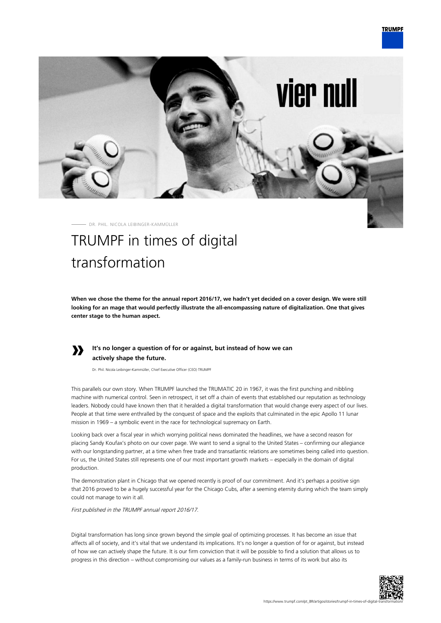**vier null** 

**TRUMPF** 



## transformation

**When we chose the theme for the annual report 2016/17, we hadn't yet decided on a cover design. We were still looking for an mage that would perfectly illustrate the all-encompassing nature of digitalization. One that gives center stage to the human aspect.**



## **It's no longer a question of for or against, but instead of how we can actively shape the future.**

Dr. Phil. Nicola Leibinger-Kammüller, Chief Executive Officer (CEO) TRUMPF

This parallels our own story. When TRUMPF launched the TRUMATIC 20 in 1967, it was the first punching and nibbling machine with numerical control. Seen in retrospect, it set off a chain of events that established our reputation as technology leaders. Nobody could have known then that it heralded a digital transformation that would change every aspect of our lives. People at that time were enthralled by the conquest of space and the exploits that culminated in the epic Apollo 11 lunar mission in 1969 – a symbolic event in the race for technological supremacy on Earth.

Looking back over a fiscal year in which worrying political news dominated the headlines, we have a second reason for placing Sandy Koufax's photo on our cover page. We want to send a signal to the United States – confirming our allegiance with our longstanding partner, at a time when free trade and transatlantic relations are sometimes being called into question. For us, the United States still represents one of our most important growth markets – especially in the domain of digital production.

The demonstration plant in Chicago that we opened recently is proof of our commitment. And it's perhaps a positive sign that 2016 proved to be a hugely successful year for the Chicago Cubs, after a seeming eternity during which the team simply could not manage to win it all.

First published in the TRUMPF annual report 2016/17.

Digital transformation has long since grown beyond the simple goal of optimizing processes. It has become an issue that affects all of society, and it's vital that we understand its implications. It's no longer a question of for or against, but instead of how we can actively shape the future. It is our firm conviction that it will be possible to find a solution that allows us to progress in this direction – without compromising our values as a family-run business in terms of its work but also its